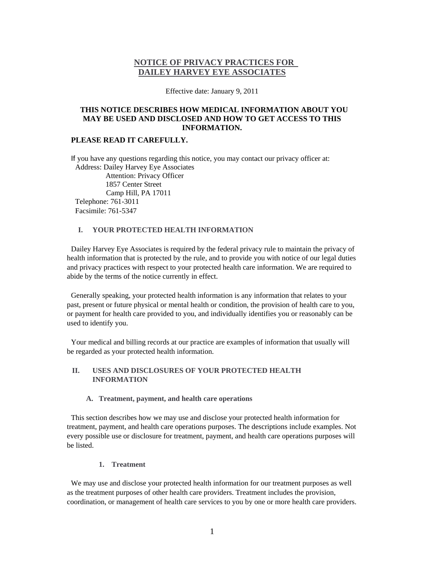# **NOTICE OF PRIVACY PRACTICES FOR DAILEY HARVEY EYE ASSOCIATES**

Effective date: January 9, 2011

## **THIS NOTICE DESCRIBES HOW MEDICAL INFORMATION ABOUT YOU MAY BE USED AND DISCLOSED AND HOW TO GET ACCESS TO THIS INFORMATION.**

## **PLEASE READ IT CAREFULLY.**

If you have any questions regarding this notice, you may contact our privacy officer at: Address: Dailey Harvey Eye Associates Attention: Privacy Officer 1857 Center Street Camp Hill, PA 17011 Telephone: 761-3011 Facsimile: 761-5347

### **I. YOUR PROTECTED HEALTH INFORMATION**

Dailey Harvey Eye Associates is required by the federal privacy rule to maintain the privacy of health information that is protected by the rule, and to provide you with notice of our legal duties and privacy practices with respect to your protected health care information. We are required to abide by the terms of the notice currently in effect.

Generally speaking, your protected health information is any information that relates to your past, present or future physical or mental health or condition, the provision of health care to you, or payment for health care provided to you, and individually identifies you or reasonably can be used to identify you.

Your medical and billing records at our practice are examples of information that usually will be regarded as your protected health information.

### **II. USES AND DISCLOSURES OF YOUR PROTECTED HEALTH INFORMATION**

#### **A. Treatment, payment, and health care operations**

This section describes how we may use and disclose your protected health information for treatment, payment, and health care operations purposes. The descriptions include examples. Not every possible use or disclosure for treatment, payment, and health care operations purposes will be listed.

**1. Treatment** 

We may use and disclose your protected health information for our treatment purposes as well as the treatment purposes of other health care providers. Treatment includes the provision, coordination, or management of health care services to you by one or more health care providers.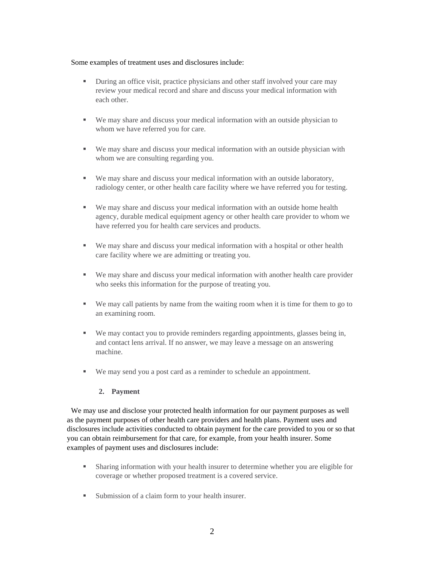#### Some examples of treatment uses and disclosures include:

- During an office visit, practice physicians and other staff involved your care may review your medical record and share and discuss your medical information with each other.
- We may share and discuss your medical information with an outside physician to whom we have referred you for care.
- We may share and discuss your medical information with an outside physician with whom we are consulting regarding you.
- We may share and discuss your medical information with an outside laboratory, radiology center, or other health care facility where we have referred you for testing.
- We may share and discuss your medical information with an outside home health agency, durable medical equipment agency or other health care provider to whom we have referred you for health care services and products.
- We may share and discuss your medical information with a hospital or other health care facility where we are admitting or treating you.
- We may share and discuss your medical information with another health care provider who seeks this information for the purpose of treating you.
- We may call patients by name from the waiting room when it is time for them to go to an examining room.
- We may contact you to provide reminders regarding appointments, glasses being in, and contact lens arrival. If no answer, we may leave a message on an answering machine.
- We may send you a post card as a reminder to schedule an appointment.

### **2. Payment**

We may use and disclose your protected health information for our payment purposes as well as the payment purposes of other health care providers and health plans. Payment uses and disclosures include activities conducted to obtain payment for the care provided to you or so that you can obtain reimbursement for that care, for example, from your health insurer. Some examples of payment uses and disclosures include:

- Sharing information with your health insurer to determine whether you are eligible for coverage or whether proposed treatment is a covered service.
- Submission of a claim form to your health insurer.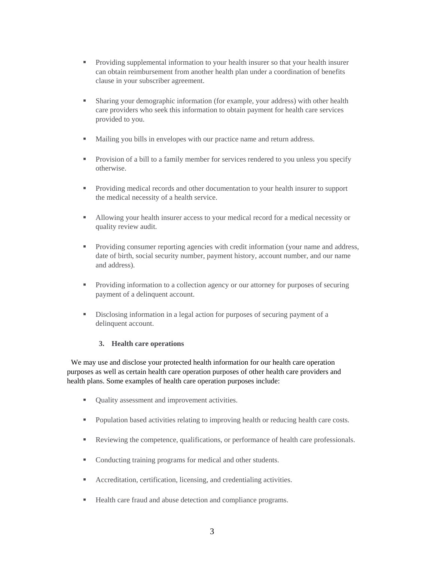- **Providing supplemental information to your health insurer so that your health insurer** can obtain reimbursement from another health plan under a coordination of benefits clause in your subscriber agreement.
- Sharing your demographic information (for example, your address) with other health care providers who seek this information to obtain payment for health care services provided to you.
- Mailing you bills in envelopes with our practice name and return address.
- **Provision of a bill to a family member for services rendered to you unless you specify** otherwise.
- Providing medical records and other documentation to your health insurer to support the medical necessity of a health service.
- Allowing your health insurer access to your medical record for a medical necessity or quality review audit.
- **Providing consumer reporting agencies with credit information (your name and address,** date of birth, social security number, payment history, account number, and our name and address).
- Providing information to a collection agency or our attorney for purposes of securing payment of a delinquent account.
- Disclosing information in a legal action for purposes of securing payment of a delinquent account.

#### **3. Health care operations**

We may use and disclose your protected health information for our health care operation purposes as well as certain health care operation purposes of other health care providers and health plans. Some examples of health care operation purposes include:

- Quality assessment and improvement activities.
- **Population based activities relating to improving health or reducing health care costs.**
- Reviewing the competence, qualifications, or performance of health care professionals.
- Conducting training programs for medical and other students.
- Accreditation, certification, licensing, and credentialing activities.
- Health care fraud and abuse detection and compliance programs.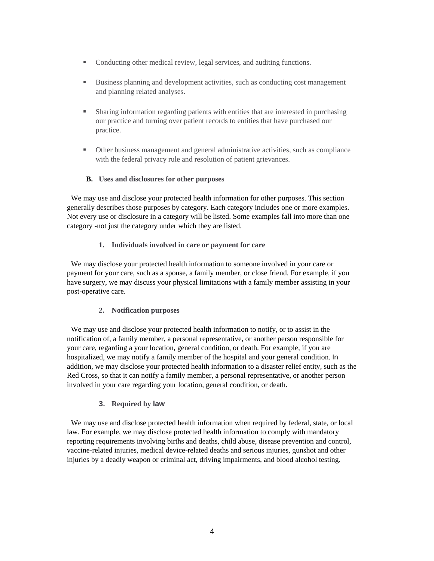- Conducting other medical review, legal services, and auditing functions.
- Business planning and development activities, such as conducting cost management and planning related analyses.
- Sharing information regarding patients with entities that are interested in purchasing our practice and turning over patient records to entities that have purchased our practice.
- Other business management and general administrative activities, such as compliance with the federal privacy rule and resolution of patient grievances.

## **B. Uses and disclosures for other purposes**

We may use and disclose your protected health information for other purposes. This section generally describes those purposes by category. Each category includes one or more examples. Not every use or disclosure in a category will be listed. Some examples fall into more than one category -not just the category under which they are listed.

## **1. Individuals involved in care or payment for care**

We may disclose your protected health information to someone involved in your care or payment for your care, such as a spouse, a family member, or close friend. For example, if you have surgery, we may discuss your physical limitations with a family member assisting in your post-operative care.

### **2. Notification purposes**

We may use and disclose your protected health information to notify, or to assist in the notification of, a family member, a personal representative, or another person responsible for your care, regarding a your location, general condition, or death. For example, if you are hospitalized, we may notify a family member of the hospital and your general condition. In addition, we may disclose your protected health information to a disaster relief entity, such as the Red Cross, so that it can notify a family member, a personal representative, or another person involved in your care regarding your location, general condition, or death.

### **3. Required by law**

We may use and disclose protected health information when required by federal, state, or local law. For example, we may disclose protected health information to comply with mandatory reporting requirements involving births and deaths, child abuse, disease prevention and control, vaccine-related injuries, medical device-related deaths and serious injuries, gunshot and other injuries by a deadly weapon or criminal act, driving impairments, and blood alcohol testing.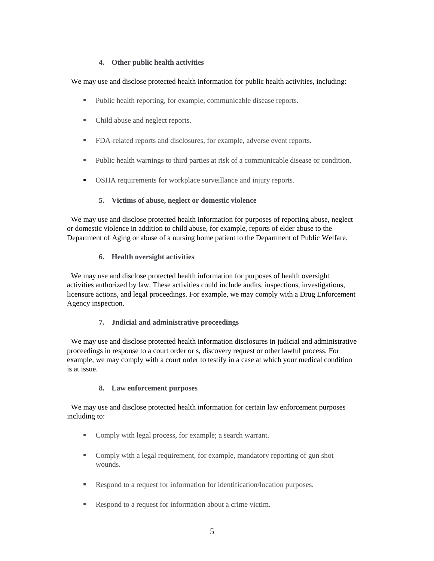### **4. Other public health activities**

We may use and disclose protected health information for public health activities, including:

- Public health reporting, for example, communicable disease reports.
- Child abuse and neglect reports.
- FDA-related reports and disclosures, for example, adverse event reports.
- Public health warnings to third parties at risk of a communicable disease or condition.
- OSHA requirements for workplace surveillance and injury reports.
	- **5. Victims of abuse, neglect or domestic violence**

We may use and disclose protected health information for purposes of reporting abuse, neglect or domestic violence in addition to child abuse, for example, reports of elder abuse to the Department of Aging or abuse of a nursing home patient to the Department of Public Welfare.

### **6. Health oversight activities**

We may use and disclose protected health information for purposes of health oversight activities authorized by law. These activities could include audits, inspections, investigations, licensure actions, and legal proceedings. For example, we may comply with a Drug Enforcement Agency inspection.

### **7. Jndicial and administrative proceedings**

We may use and disclose protected health information disclosures in judicial and administrative proceedings in response to a court order or s, discovery request or other lawful process. For example, we may comply with a court order to testify in a case at which your medical condition is at issue.

### **8. Law enforcement purposes**

We may use and disclose protected health information for certain law enforcement purposes including to:

- Comply with legal process, for example; a search warrant.
- Comply with a legal requirement, for example, mandatory reporting of gun shot wounds.
- Respond to a request for information for identification/location purposes.
- Respond to a request for information about a crime victim.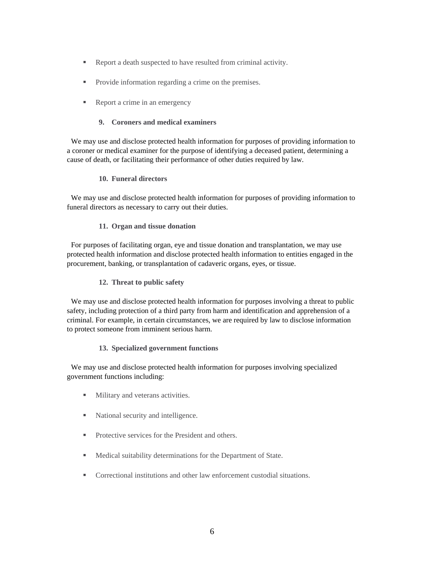- Report a death suspected to have resulted from criminal activity.
- Provide information regarding a crime on the premises.
- Report a crime in an emergency

### **9. Coroners and medical examiners**

We may use and disclose protected health information for purposes of providing information to a coroner or medical examiner for the purpose of identifying a deceased patient, determining a cause of death, or facilitating their performance of other duties required by law.

#### **10. Funeral directors**

We may use and disclose protected health information for purposes of providing information to funeral directors as necessary to carry out their duties.

#### **11. Organ and tissue donation**

For purposes of facilitating organ, eye and tissue donation and transplantation, we may use protected health information and disclose protected health information to entities engaged in the procurement, banking, or transplantation of cadaveric organs, eyes, or tissue.

#### **12. Threat to public safety**

We may use and disclose protected health information for purposes involving a threat to public safety, including protection of a third party from harm and identification and apprehension of a criminal. For example, in certain circumstances, we are required by law to disclose information to protect someone from imminent serious harm.

#### **13. Specialized government functions**

We may use and disclose protected health information for purposes involving specialized government functions including:

- **Military and veterans activities.**
- National security and intelligence.
- **Protective services for the President and others.**
- **Medical suitability determinations for the Department of State.**
- Correctional institutions and other law enforcement custodial situations.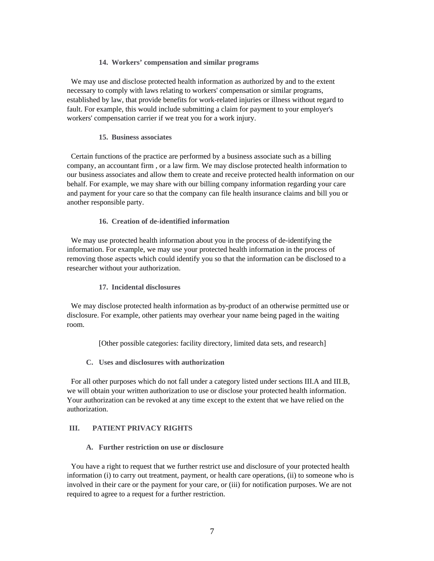#### **14. Workers' compensation and similar programs**

We may use and disclose protected health information as authorized by and to the extent necessary to comply with laws relating to workers' compensation or similar programs, established by law, that provide benefits for work-related injuries or illness without regard to fault. For example, this would include submitting a claim for payment to your employer's workers' compensation carrier if we treat you for a work injury.

#### **15. Business associates**

Certain functions of the practice are performed by a business associate such as a billing company, an accountant firm , or a law firm. We may disclose protected health information to our business associates and allow them to create and receive protected health information on our behalf. For example, we may share with our billing company information regarding your care and payment for your care so that the company can file health insurance claims and bill you or another responsible party.

#### **16. Creation of de-identified information**

We may use protected health information about you in the process of de-identifying the information. For example, we may use your protected health information in the process of removing those aspects which could identify you so that the information can be disclosed to a researcher without your authorization.

#### **17. Incidental disclosures**

We may disclose protected health information as by-product of an otherwise permitted use or disclosure. For example, other patients may overhear your name being paged in the waiting room.

[Other possible categories: facility directory, limited data sets, and research]

**C. Uses and disclosures with authorization** 

For all other purposes which do not fall under a category listed under sections III.A and III.B, we will obtain your written authorization to use or disclose your protected health information. Your authorization can be revoked at any time except to the extent that we have relied on the authorization.

### **III. PATIENT PRIVACY RIGHTS**

#### **A. Further restriction on use or disclosure**

You have a right to request that we further restrict use and disclosure of your protected health information (i) to carry out treatment, payment, or health care operations, (ii) to someone who is involved in their care or the payment for your care, or (iii) for notification purposes. We are not required to agree to a request for a further restriction.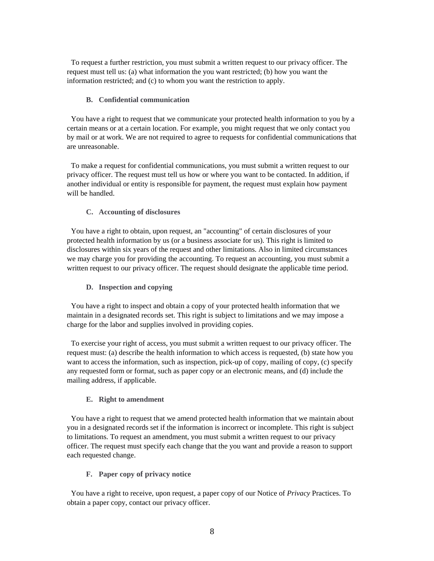To request a further restriction, you must submit a written request to our privacy officer. The request must tell us: (a) what information the you want restricted; (b) how you want the information restricted; and (c) to whom you want the restriction to apply.

#### **B. Confidential communication**

You have a right to request that we communicate your protected health information to you by a certain means or at a certain location. For example, you might request that we only contact you by mail or at work. We are not required to agree to requests for confidential communications that are unreasonable.

To make a request for confidential communications, you must submit a written request to our privacy officer. The request must tell us how or where you want to be contacted. In addition, if another individual or entity is responsible for payment, the request must explain how payment will be handled.

#### **C. Accounting of disclosures**

You have a right to obtain, upon request, an "accounting" of certain disclosures of your protected health information by us (or a business associate for us). This right is limited to disclosures within six years of the request and other limitations. Also in limited circumstances we may charge you for providing the accounting. To request an accounting, you must submit a written request to our privacy officer. The request should designate the applicable time period.

#### **D. Inspection and copying**

You have a right to inspect and obtain a copy of your protected health information that we maintain in a designated records set. This right is subject to limitations and we may impose a charge for the labor and supplies involved in providing copies.

To exercise your right of access, you must submit a written request to our privacy officer. The request must: (a) describe the health information to which access is requested, (b) state how you want to access the information, such as inspection, pick-up of copy, mailing of copy, (c) specify any requested form or format, such as paper copy or an electronic means, and (d) include the mailing address, if applicable.

#### **E. Right to amendment**

You have a right to request that we amend protected health information that we maintain about you in a designated records set if the information is incorrect or incomplete. This right is subject to limitations. To request an amendment, you must submit a written request to our privacy officer. The request must specify each change that the you want and provide a reason to support each requested change.

#### **F. Paper copy of privacy notice**

You have a right to receive, upon request, a paper copy of our Notice of *Privacy* Practices. To obtain a paper copy, contact our privacy officer.